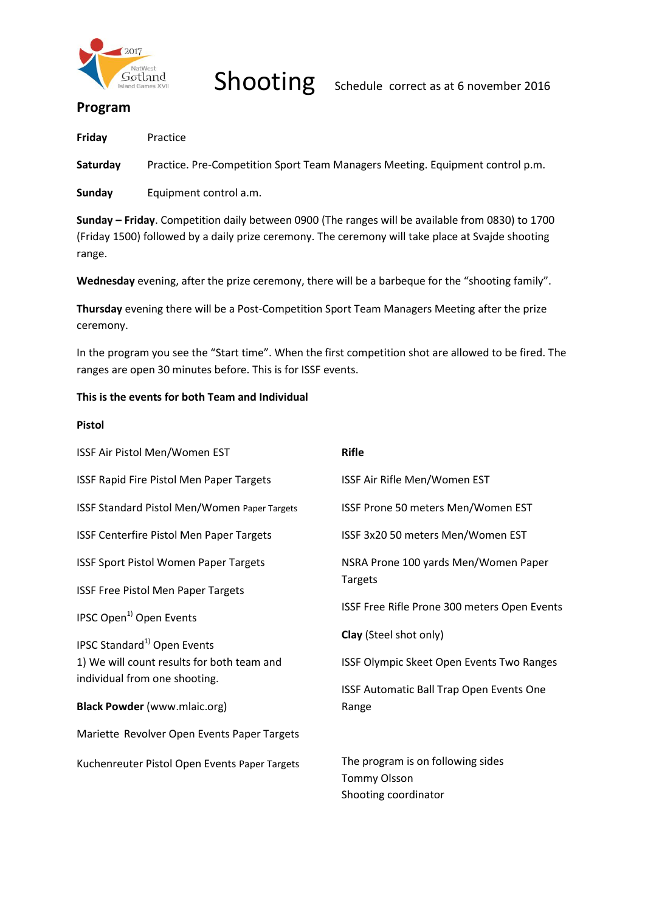

## **Program**

**Friday** Practice

**Saturday** Practice. Pre-Competition Sport Team Managers Meeting. Equipment control p.m.

**Sunday** Equipment control a.m.

**Sunday – Friday**. Competition daily between 0900 (The ranges will be available from 0830) to 1700 (Friday 1500) followed by a daily prize ceremony. The ceremony will take place at Svajde shooting range.

**Wednesday** evening, after the prize ceremony, there will be a barbeque for the "shooting family".

**Thursday** evening there will be a Post-Competition Sport Team Managers Meeting after the prize ceremony.

In the program you see the "Start time". When the first competition shot are allowed to be fired. The ranges are open 30 minutes before. This is for ISSF events.

### **This is the events for both Team and Individual**

### **Pistol**

| ISSF Air Pistol Men/Women EST                   | <b>Rifle</b>                                 |  |  |
|-------------------------------------------------|----------------------------------------------|--|--|
| ISSF Rapid Fire Pistol Men Paper Targets        | ISSF Air Rifle Men/Women EST                 |  |  |
| ISSF Standard Pistol Men/Women Paper Targets    | ISSF Prone 50 meters Men/Women EST           |  |  |
| <b>ISSF Centerfire Pistol Men Paper Targets</b> | ISSF 3x20 50 meters Men/Women EST            |  |  |
| <b>ISSF Sport Pistol Women Paper Targets</b>    | NSRA Prone 100 yards Men/Women Paper         |  |  |
| <b>ISSF Free Pistol Men Paper Targets</b>       | <b>Targets</b>                               |  |  |
| IPSC Open <sup>1)</sup> Open Events             | ISSF Free Rifle Prone 300 meters Open Events |  |  |
| <b>IPSC Standard</b> <sup>1)</sup> Open Events  | Clay (Steel shot only)                       |  |  |
| 1) We will count results for both team and      | ISSF Olympic Skeet Open Events Two Ranges    |  |  |
| individual from one shooting.                   | ISSF Automatic Ball Trap Open Events One     |  |  |
| <b>Black Powder (www.mlaic.org)</b>             | Range                                        |  |  |
| Mariette Revolver Open Events Paper Targets     |                                              |  |  |
| Kuchenreuter Pistol Open Events Paper Targets   | The program is on following sides            |  |  |
|                                                 | <b>Tommy Olsson</b>                          |  |  |
|                                                 | Shooting coordinator                         |  |  |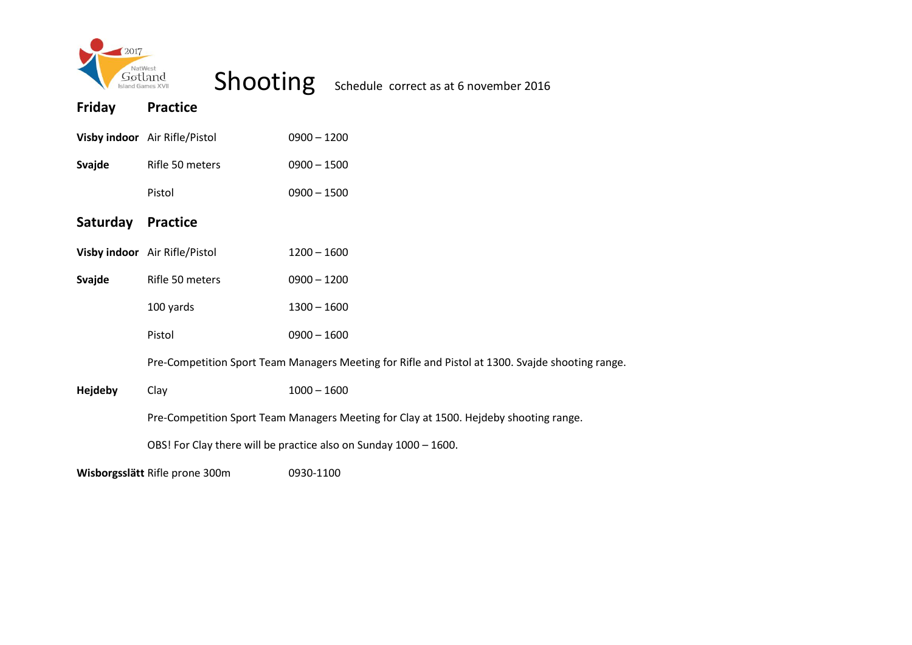



| Friday         | <b>Practice</b>                                                                                  |               |  |
|----------------|--------------------------------------------------------------------------------------------------|---------------|--|
|                | Visby indoor Air Rifle/Pistol                                                                    | $0900 - 1200$ |  |
| Svajde         | Rifle 50 meters                                                                                  | $0900 - 1500$ |  |
|                | Pistol                                                                                           | $0900 - 1500$ |  |
| Saturday       | <b>Practice</b>                                                                                  |               |  |
|                | Visby indoor Air Rifle/Pistol                                                                    | $1200 - 1600$ |  |
| Svajde         | Rifle 50 meters                                                                                  | $0900 - 1200$ |  |
|                | 100 yards                                                                                        | $1300 - 1600$ |  |
|                | Pistol                                                                                           | $0900 - 1600$ |  |
|                | Pre-Competition Sport Team Managers Meeting for Rifle and Pistol at 1300. Svajde shooting range. |               |  |
| <b>Hejdeby</b> | Clay                                                                                             | $1000 - 1600$ |  |
|                | Pre-Competition Sport Team Managers Meeting for Clay at 1500. Hejdeby shooting range.            |               |  |
|                | OBS! For Clay there will be practice also on Sunday 1000 - 1600.                                 |               |  |
|                | Wisborgsslätt Rifle prone 300m                                                                   | 0930-1100     |  |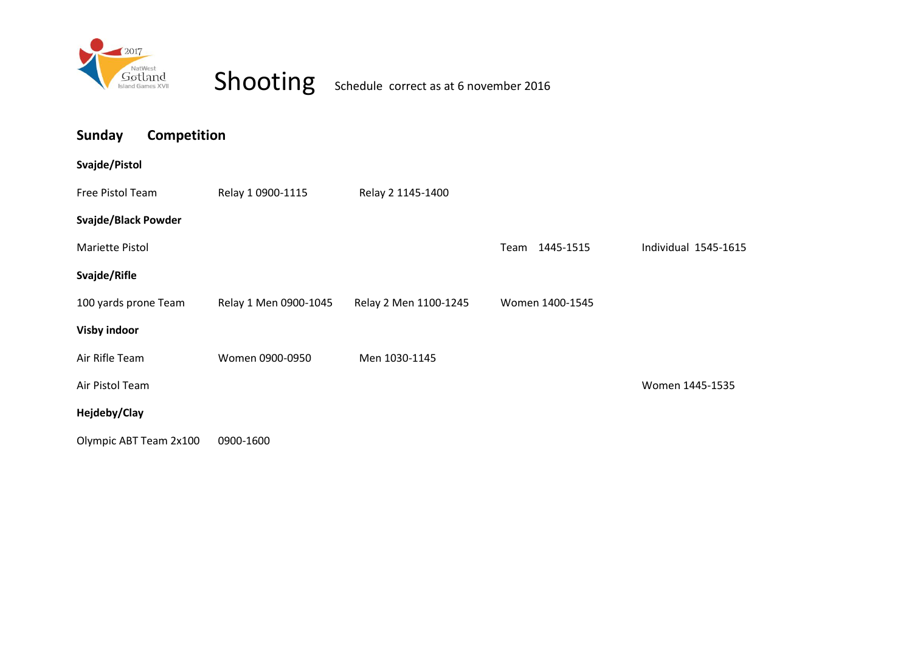

 $S_{\text{ShtMest}}$  Shooting schedule correct as at 6 november 2016

| Sunday<br>Competition  |                       |                       |                 |                      |
|------------------------|-----------------------|-----------------------|-----------------|----------------------|
| Svajde/Pistol          |                       |                       |                 |                      |
| Free Pistol Team       | Relay 1 0900-1115     | Relay 2 1145-1400     |                 |                      |
| Svajde/Black Powder    |                       |                       |                 |                      |
| Mariette Pistol        |                       |                       | Team 1445-1515  | Individual 1545-1615 |
| Svajde/Rifle           |                       |                       |                 |                      |
| 100 yards prone Team   | Relay 1 Men 0900-1045 | Relay 2 Men 1100-1245 | Women 1400-1545 |                      |
| Visby indoor           |                       |                       |                 |                      |
| Air Rifle Team         | Women 0900-0950       | Men 1030-1145         |                 |                      |
| Air Pistol Team        |                       |                       |                 | Women 1445-1535      |
| Hejdeby/Clay           |                       |                       |                 |                      |
| Olympic ABT Team 2x100 | 0900-1600             |                       |                 |                      |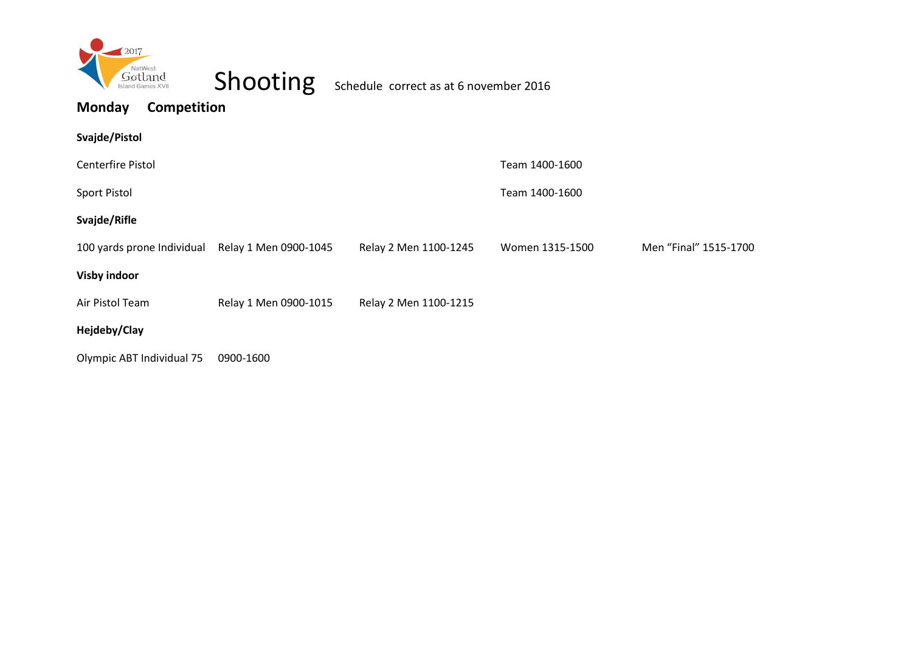



# **Monday Competition**

| Svajde/Pistol              |                       |                       |                 |                       |
|----------------------------|-----------------------|-----------------------|-----------------|-----------------------|
| Centerfire Pistol          |                       |                       | Team 1400-1600  |                       |
| <b>Sport Pistol</b>        |                       |                       | Team 1400-1600  |                       |
| Svajde/Rifle               |                       |                       |                 |                       |
| 100 yards prone Individual | Relay 1 Men 0900-1045 | Relay 2 Men 1100-1245 | Women 1315-1500 | Men "Final" 1515-1700 |
| <b>Visby indoor</b>        |                       |                       |                 |                       |
| Air Pistol Team            | Relay 1 Men 0900-1015 | Relay 2 Men 1100-1215 |                 |                       |
| Hejdeby/Clay               |                       |                       |                 |                       |
| Olympic ABT Individual 75  | 0900-1600             |                       |                 |                       |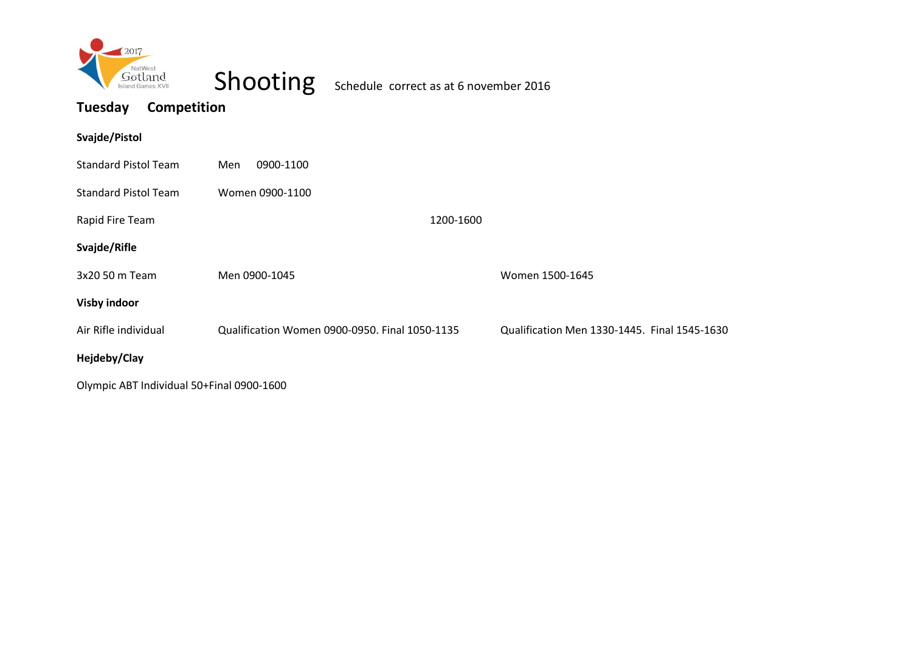



## **Tuesday Competition**

| Svajde/Pistol                                                                        |                                                |           |                                              |
|--------------------------------------------------------------------------------------|------------------------------------------------|-----------|----------------------------------------------|
| <b>Standard Pistol Team</b>                                                          | 0900-1100<br>Men                               |           |                                              |
| <b>Standard Pistol Team</b>                                                          | Women 0900-1100                                |           |                                              |
| Rapid Fire Team                                                                      |                                                | 1200-1600 |                                              |
| Svajde/Rifle                                                                         |                                                |           |                                              |
| 3x20 50 m Team                                                                       | Men 0900-1045                                  |           | Women 1500-1645                              |
| <b>Visby indoor</b>                                                                  |                                                |           |                                              |
| Air Rifle individual                                                                 | Qualification Women 0900-0950. Final 1050-1135 |           | Qualification Men 1330-1445. Final 1545-1630 |
| Hejdeby/Clay                                                                         |                                                |           |                                              |
| $O_{\text{base}}$ is $ADT$ lied; $d_{\text{total}}$ $EQ$ if $\alpha$ and $QQQ$ $ACQ$ |                                                |           |                                              |

Olympic ABT Individual 50+Final 0900-1600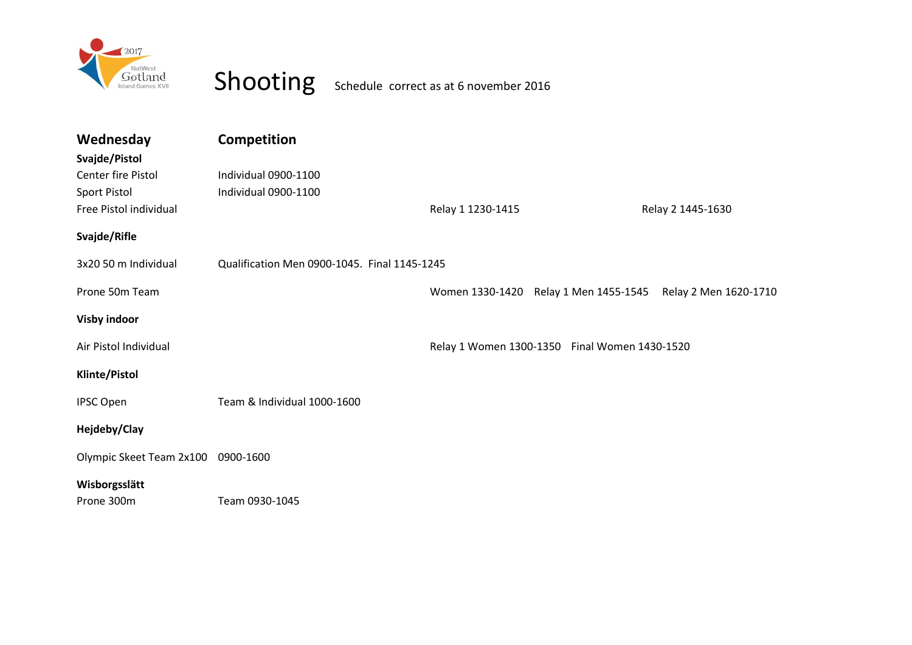

 $S_{\text{ShtMSE}^{\text{NattWest}}$  **Shooting** schedule correct as at 6 november 2016

| Wednesday                          | <b>Competition</b>                           |                                               |                                             |
|------------------------------------|----------------------------------------------|-----------------------------------------------|---------------------------------------------|
| Svajde/Pistol                      |                                              |                                               |                                             |
| Center fire Pistol                 | Individual 0900-1100                         |                                               |                                             |
| <b>Sport Pistol</b>                | Individual 0900-1100                         |                                               |                                             |
| Free Pistol individual             |                                              | Relay 1 1230-1415                             | Relay 2 1445-1630                           |
| Svajde/Rifle                       |                                              |                                               |                                             |
| 3x20 50 m Individual               | Qualification Men 0900-1045. Final 1145-1245 |                                               |                                             |
| Prone 50m Team                     |                                              | Women 1330-1420                               | Relay 1 Men 1455-1545 Relay 2 Men 1620-1710 |
| <b>Visby indoor</b>                |                                              |                                               |                                             |
| Air Pistol Individual              |                                              | Relay 1 Women 1300-1350 Final Women 1430-1520 |                                             |
| Klinte/Pistol                      |                                              |                                               |                                             |
| <b>IPSC Open</b>                   | Team & Individual 1000-1600                  |                                               |                                             |
| Hejdeby/Clay                       |                                              |                                               |                                             |
| Olympic Skeet Team 2x100 0900-1600 |                                              |                                               |                                             |
| Wisborgsslätt                      |                                              |                                               |                                             |
| Prone 300m                         | Team 0930-1045                               |                                               |                                             |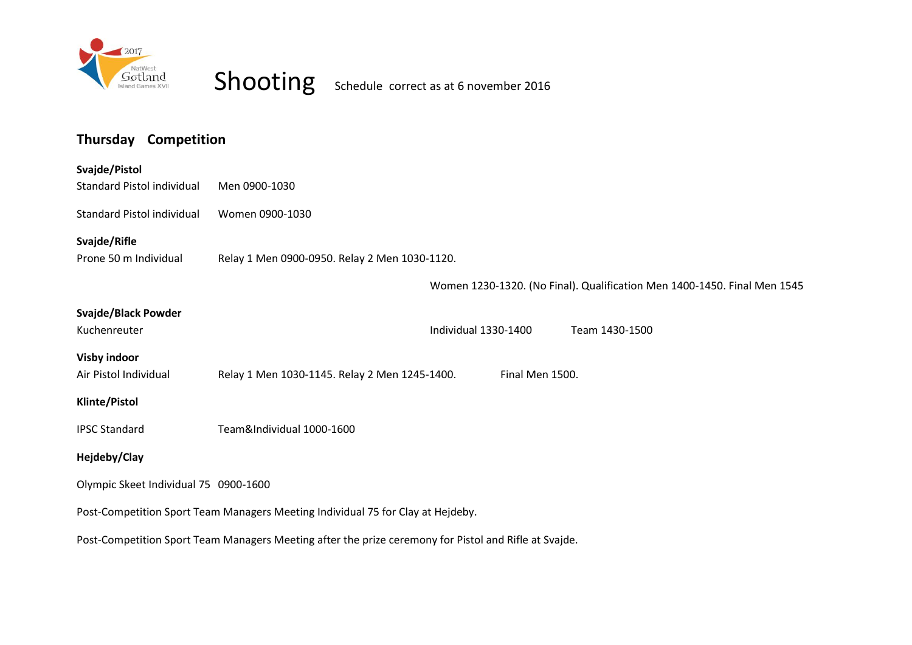



## **Thursday Competition**

| Svajde/Pistol                                                                                         |                                               |                      |                 |                                                                          |
|-------------------------------------------------------------------------------------------------------|-----------------------------------------------|----------------------|-----------------|--------------------------------------------------------------------------|
| <b>Standard Pistol individual</b>                                                                     | Men 0900-1030                                 |                      |                 |                                                                          |
| <b>Standard Pistol individual</b>                                                                     | Women 0900-1030                               |                      |                 |                                                                          |
| Svajde/Rifle                                                                                          |                                               |                      |                 |                                                                          |
| Prone 50 m Individual                                                                                 | Relay 1 Men 0900-0950. Relay 2 Men 1030-1120. |                      |                 |                                                                          |
|                                                                                                       |                                               |                      |                 | Women 1230-1320. (No Final). Qualification Men 1400-1450. Final Men 1545 |
| Svajde/Black Powder                                                                                   |                                               |                      |                 |                                                                          |
| Kuchenreuter                                                                                          |                                               | Individual 1330-1400 |                 | Team 1430-1500                                                           |
| <b>Visby indoor</b>                                                                                   |                                               |                      |                 |                                                                          |
| Air Pistol Individual                                                                                 | Relay 1 Men 1030-1145. Relay 2 Men 1245-1400. |                      | Final Men 1500. |                                                                          |
| <b>Klinte/Pistol</b>                                                                                  |                                               |                      |                 |                                                                          |
| <b>IPSC Standard</b>                                                                                  | Team&Individual 1000-1600                     |                      |                 |                                                                          |
| Hejdeby/Clay                                                                                          |                                               |                      |                 |                                                                          |
| Olympic Skeet Individual 75 0900-1600                                                                 |                                               |                      |                 |                                                                          |
| Post-Competition Sport Team Managers Meeting Individual 75 for Clay at Hejdeby.                       |                                               |                      |                 |                                                                          |
| Post-Competition Sport Team Managers Meeting after the prize ceremony for Pistol and Rifle at Svajde. |                                               |                      |                 |                                                                          |